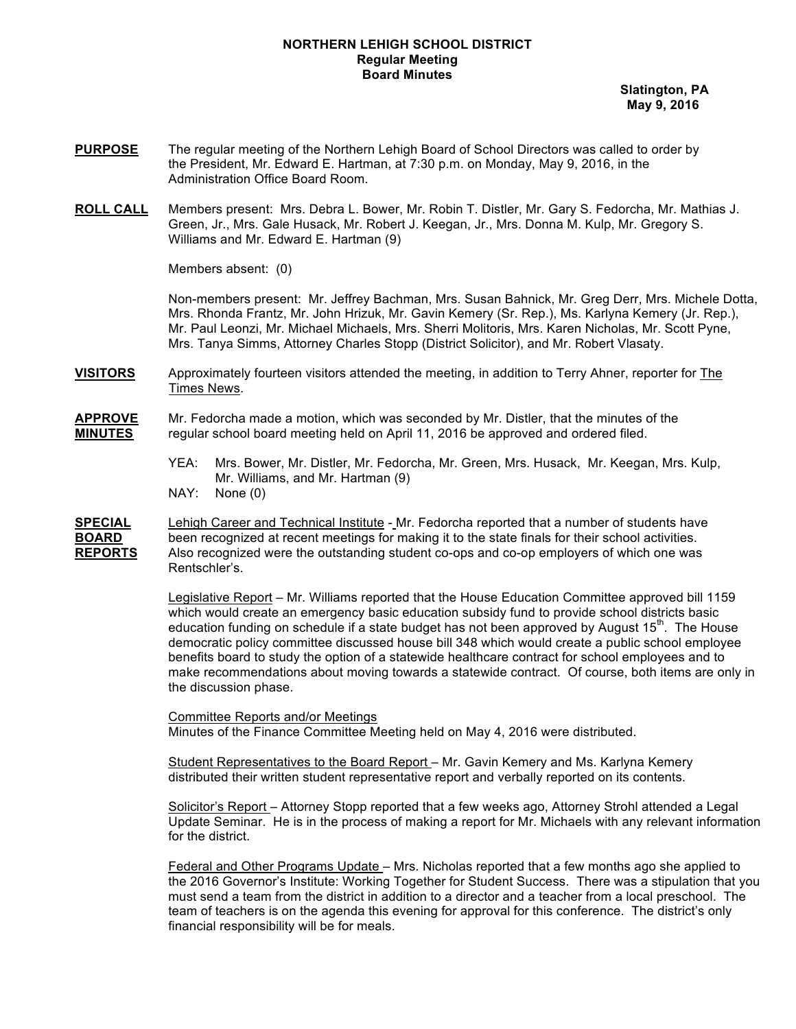### **NORTHERN LEHIGH SCHOOL DISTRICT Regular Meeting Board Minutes**

 **Slatington, PA May 9, 2016**

- **PURPOSE** The regular meeting of the Northern Lehigh Board of School Directors was called to order by the President, Mr. Edward E. Hartman, at 7:30 p.m. on Monday, May 9, 2016, in the Administration Office Board Room.
- **ROLL CALL** Members present: Mrs. Debra L. Bower, Mr. Robin T. Distler, Mr. Gary S. Fedorcha, Mr. Mathias J. Green, Jr., Mrs. Gale Husack, Mr. Robert J. Keegan, Jr., Mrs. Donna M. Kulp, Mr. Gregory S. Williams and Mr. Edward E. Hartman (9)

Members absent: (0)

Non-members present: Mr. Jeffrey Bachman, Mrs. Susan Bahnick, Mr. Greg Derr, Mrs. Michele Dotta, Mrs. Rhonda Frantz, Mr. John Hrizuk, Mr. Gavin Kemery (Sr. Rep.), Ms. Karlyna Kemery (Jr. Rep.), Mr. Paul Leonzi, Mr. Michael Michaels, Mrs. Sherri Molitoris, Mrs. Karen Nicholas, Mr. Scott Pyne, Mrs. Tanya Simms, Attorney Charles Stopp (District Solicitor), and Mr. Robert Vlasaty.

**VISITORS** Approximately fourteen visitors attended the meeting, in addition to Terry Ahner, reporter for The Times News.

**APPROVE** Mr. Fedorcha made a motion, which was seconded by Mr. Distler, that the minutes of the **MINUTES** regular school board meeting held on April 11, 2016 be approved and ordered filed.

- YEA: Mrs. Bower, Mr. Distler, Mr. Fedorcha, Mr. Green, Mrs. Husack, Mr. Keegan, Mrs. Kulp, Mr. Williams, and Mr. Hartman (9)
- NAY: None (0)

**SPECIAL** Lehigh Career and Technical Institute - Mr. Fedorcha reported that a number of students have **BOARD** been recognized at recent meetings for making it to the state finals for their school activities. **REPORTS** Also recognized were the outstanding student co-ops and co-op employers of which one was Rentschler's.

> Legislative Report – Mr. Williams reported that the House Education Committee approved bill 1159 which would create an emergency basic education subsidy fund to provide school districts basic education funding on schedule if a state budget has not been approved by August  $15<sup>th</sup>$ . The House democratic policy committee discussed house bill 348 which would create a public school employee benefits board to study the option of a statewide healthcare contract for school employees and to make recommendations about moving towards a statewide contract. Of course, both items are only in the discussion phase.

Committee Reports and/or Meetings

Minutes of the Finance Committee Meeting held on May 4, 2016 were distributed.

Student Representatives to the Board Report – Mr. Gavin Kemery and Ms. Karlyna Kemery distributed their written student representative report and verbally reported on its contents.

Solicitor's Report - Attorney Stopp reported that a few weeks ago, Attorney Strohl attended a Legal Update Seminar. He is in the process of making a report for Mr. Michaels with any relevant information for the district.

Federal and Other Programs Update – Mrs. Nicholas reported that a few months ago she applied to the 2016 Governor's Institute: Working Together for Student Success. There was a stipulation that you must send a team from the district in addition to a director and a teacher from a local preschool. The team of teachers is on the agenda this evening for approval for this conference. The district's only financial responsibility will be for meals.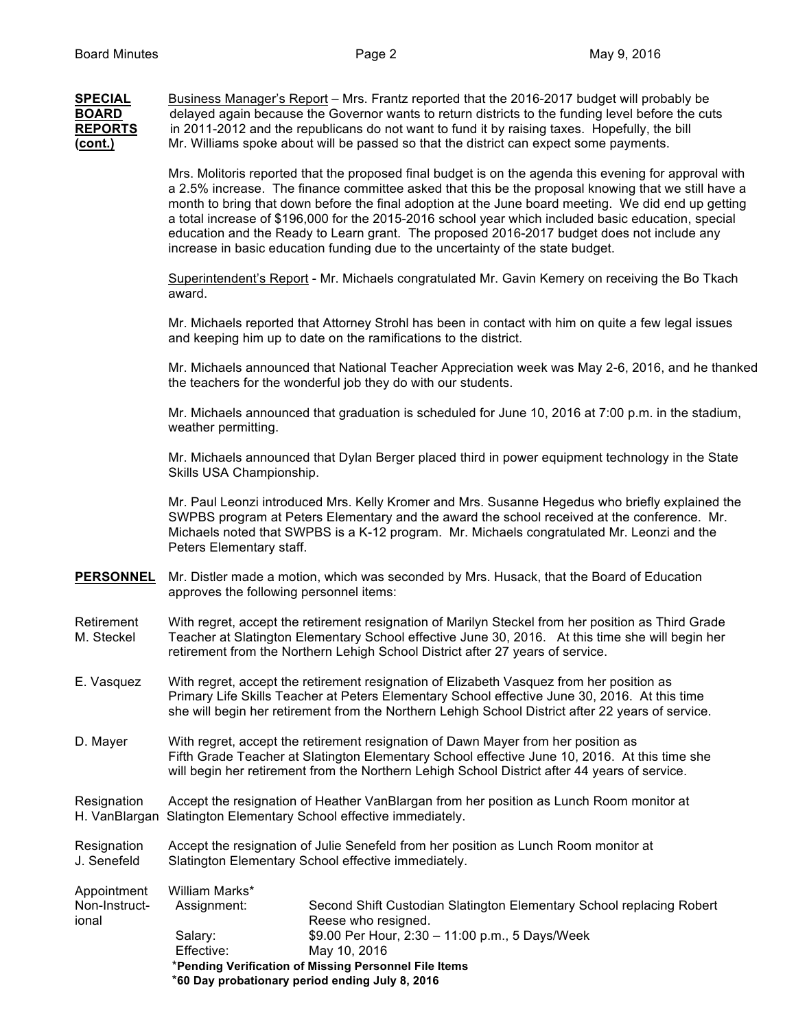| <b>SPECIAL</b> | Business Manager's Report – Mrs. Frantz reported that the 2016-2017 budget will probably be       |
|----------------|---------------------------------------------------------------------------------------------------|
| <b>BOARD</b>   | delayed again because the Governor wants to return districts to the funding level before the cuts |
| <b>REPORTS</b> | in 2011-2012 and the republicans do not want to fund it by raising taxes. Hopefully, the bill     |
| <u>(cont.)</u> | Mr. Williams spoke about will be passed so that the district can expect some payments.            |

Mrs. Molitoris reported that the proposed final budget is on the agenda this evening for approval with a 2.5% increase. The finance committee asked that this be the proposal knowing that we still have a month to bring that down before the final adoption at the June board meeting. We did end up getting a total increase of \$196,000 for the 2015-2016 school year which included basic education, special education and the Ready to Learn grant. The proposed 2016-2017 budget does not include any increase in basic education funding due to the uncertainty of the state budget.

Superintendent's Report - Mr. Michaels congratulated Mr. Gavin Kemery on receiving the Bo Tkach award.

Mr. Michaels reported that Attorney Strohl has been in contact with him on quite a few legal issues and keeping him up to date on the ramifications to the district.

Mr. Michaels announced that National Teacher Appreciation week was May 2-6, 2016, and he thanked the teachers for the wonderful job they do with our students.

Mr. Michaels announced that graduation is scheduled for June 10, 2016 at 7:00 p.m. in the stadium, weather permitting.

Mr. Michaels announced that Dylan Berger placed third in power equipment technology in the State Skills USA Championship.

Mr. Paul Leonzi introduced Mrs. Kelly Kromer and Mrs. Susanne Hegedus who briefly explained the SWPBS program at Peters Elementary and the award the school received at the conference. Mr. Michaels noted that SWPBS is a K-12 program. Mr. Michaels congratulated Mr. Leonzi and the Peters Elementary staff.

- **PERSONNEL** Mr. Distler made a motion, which was seconded by Mrs. Husack, that the Board of Education approves the following personnel items:
- Retirement With regret, accept the retirement resignation of Marilyn Steckel from her position as Third Grade<br>M. Steckel Teacher at Slatington Elementary School effective June 30, 2016. At this time she will begin her Teacher at Slatington Elementary School effective June 30, 2016. At this time she will begin her retirement from the Northern Lehigh School District after 27 years of service.
- E. Vasquez With regret, accept the retirement resignation of Elizabeth Vasquez from her position as Primary Life Skills Teacher at Peters Elementary School effective June 30, 2016. At this time she will begin her retirement from the Northern Lehigh School District after 22 years of service.
- D. Mayer With regret, accept the retirement resignation of Dawn Mayer from her position as Fifth Grade Teacher at Slatington Elementary School effective June 10, 2016. At this time she will begin her retirement from the Northern Lehigh School District after 44 years of service.

Resignation Accept the resignation of Heather VanBlargan from her position as Lunch Room monitor at H. VanBlargan Slatington Elementary School effective immediately.

Resignation Accept the resignation of Julie Senefeld from her position as Lunch Room monitor at J. Senefeld Slatington Elementary School effective immediately.

| Appointment   | William Marks*                                        |                                                                      |  |  |
|---------------|-------------------------------------------------------|----------------------------------------------------------------------|--|--|
| Non-Instruct- | Assignment:                                           | Second Shift Custodian Slatington Elementary School replacing Robert |  |  |
| ional         |                                                       | Reese who resigned.                                                  |  |  |
|               | Salarv:                                               | \$9.00 Per Hour, $2:30 - 11:00$ p.m., 5 Days/Week                    |  |  |
|               | Effective:                                            | May 10, 2016                                                         |  |  |
|               | *Pending Verification of Missing Personnel File Items |                                                                      |  |  |
|               |                                                       | *60 Day probationary period ending July 8, 2016                      |  |  |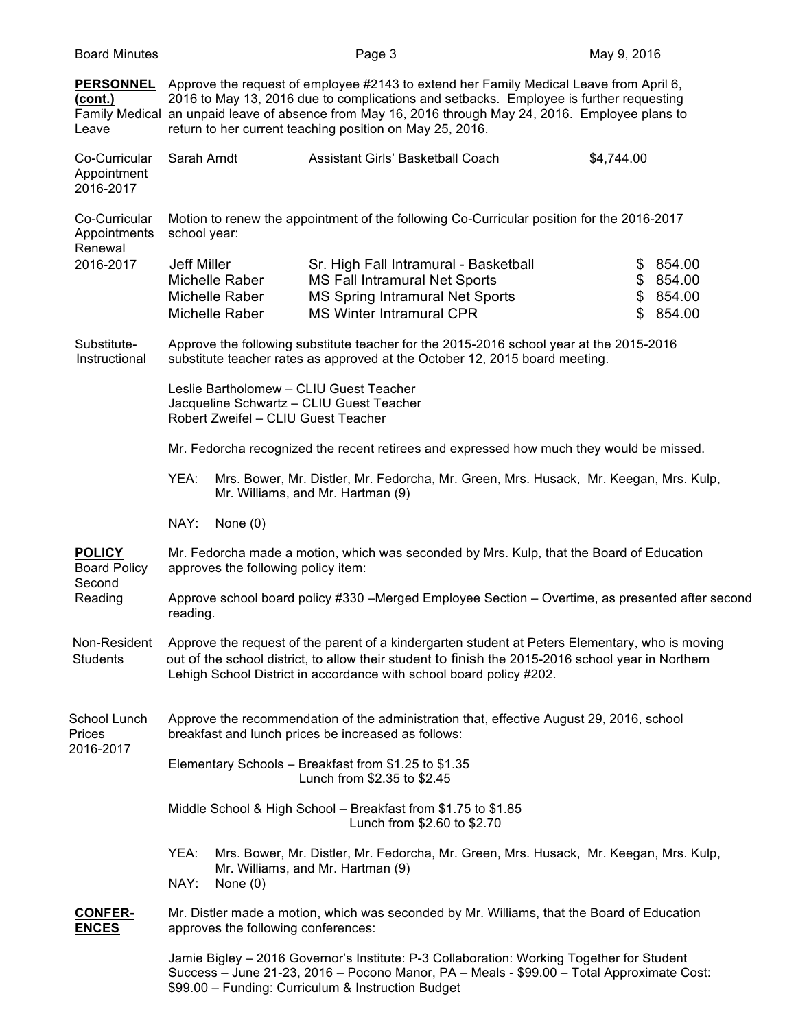| <b>Board Minutes</b>                                      |                                                                                                                                                                                                                                                                                                                                                     | Page 3                                                                                                                                                                                                                                       | May 9, 2016    |                                        |
|-----------------------------------------------------------|-----------------------------------------------------------------------------------------------------------------------------------------------------------------------------------------------------------------------------------------------------------------------------------------------------------------------------------------------------|----------------------------------------------------------------------------------------------------------------------------------------------------------------------------------------------------------------------------------------------|----------------|----------------------------------------|
| <b>PERSONNEL</b><br><u>(cont.)</u><br>Leave               | Approve the request of employee #2143 to extend her Family Medical Leave from April 6,<br>2016 to May 13, 2016 due to complications and setbacks. Employee is further requesting<br>Family Medical an unpaid leave of absence from May 16, 2016 through May 24, 2016. Employee plans to<br>return to her current teaching position on May 25, 2016. |                                                                                                                                                                                                                                              |                |                                        |
| Co-Curricular<br>Appointment<br>2016-2017                 | Sarah Arndt                                                                                                                                                                                                                                                                                                                                         | Assistant Girls' Basketball Coach                                                                                                                                                                                                            | \$4,744.00     |                                        |
| Co-Curricular<br>Appointments<br>Renewal<br>2016-2017     | school year:                                                                                                                                                                                                                                                                                                                                        | Motion to renew the appointment of the following Co-Curricular position for the 2016-2017                                                                                                                                                    |                |                                        |
|                                                           | Jeff Miller<br>Michelle Raber<br>Michelle Raber<br>Michelle Raber                                                                                                                                                                                                                                                                                   | Sr. High Fall Intramural - Basketball<br><b>MS Fall Intramural Net Sports</b><br><b>MS Spring Intramural Net Sports</b><br><b>MS Winter Intramural CPR</b>                                                                                   | \$<br>\$<br>\$ | 854.00<br>\$854.00<br>854.00<br>854.00 |
| Substitute-<br>Instructional                              |                                                                                                                                                                                                                                                                                                                                                     | Approve the following substitute teacher for the 2015-2016 school year at the 2015-2016<br>substitute teacher rates as approved at the October 12, 2015 board meeting.                                                                       |                |                                        |
|                                                           | Leslie Bartholomew - CLIU Guest Teacher<br>Jacqueline Schwartz - CLIU Guest Teacher<br>Robert Zweifel - CLIU Guest Teacher                                                                                                                                                                                                                          |                                                                                                                                                                                                                                              |                |                                        |
|                                                           |                                                                                                                                                                                                                                                                                                                                                     | Mr. Fedorcha recognized the recent retirees and expressed how much they would be missed.                                                                                                                                                     |                |                                        |
|                                                           | YEA:                                                                                                                                                                                                                                                                                                                                                | Mrs. Bower, Mr. Distler, Mr. Fedorcha, Mr. Green, Mrs. Husack, Mr. Keegan, Mrs. Kulp,<br>Mr. Williams, and Mr. Hartman (9)                                                                                                                   |                |                                        |
|                                                           | NAY:<br>None $(0)$                                                                                                                                                                                                                                                                                                                                  |                                                                                                                                                                                                                                              |                |                                        |
| <b>POLICY</b><br><b>Board Policy</b><br>Second<br>Reading | approves the following policy item:                                                                                                                                                                                                                                                                                                                 | Mr. Fedorcha made a motion, which was seconded by Mrs. Kulp, that the Board of Education                                                                                                                                                     |                |                                        |
|                                                           | reading.                                                                                                                                                                                                                                                                                                                                            | Approve school board policy #330 -Merged Employee Section - Overtime, as presented after second                                                                                                                                              |                |                                        |
| Non-Resident<br><b>Students</b>                           | Approve the request of the parent of a kindergarten student at Peters Elementary, who is moving<br>out of the school district, to allow their student to finish the 2015-2016 school year in Northern<br>Lehigh School District in accordance with school board policy #202.                                                                        |                                                                                                                                                                                                                                              |                |                                        |
| School Lunch<br>Prices<br>2016-2017                       |                                                                                                                                                                                                                                                                                                                                                     | Approve the recommendation of the administration that, effective August 29, 2016, school<br>breakfast and lunch prices be increased as follows:                                                                                              |                |                                        |
|                                                           |                                                                                                                                                                                                                                                                                                                                                     | Elementary Schools - Breakfast from \$1.25 to \$1.35<br>Lunch from \$2.35 to \$2.45                                                                                                                                                          |                |                                        |
|                                                           |                                                                                                                                                                                                                                                                                                                                                     | Middle School & High School - Breakfast from \$1.75 to \$1.85<br>Lunch from \$2.60 to \$2.70                                                                                                                                                 |                |                                        |
|                                                           | YEA:<br>NAY:<br>None $(0)$                                                                                                                                                                                                                                                                                                                          | Mrs. Bower, Mr. Distler, Mr. Fedorcha, Mr. Green, Mrs. Husack, Mr. Keegan, Mrs. Kulp,<br>Mr. Williams, and Mr. Hartman (9)                                                                                                                   |                |                                        |
| <b>CONFER-</b><br><b>ENCES</b>                            | approves the following conferences:                                                                                                                                                                                                                                                                                                                 | Mr. Distler made a motion, which was seconded by Mr. Williams, that the Board of Education                                                                                                                                                   |                |                                        |
|                                                           |                                                                                                                                                                                                                                                                                                                                                     | Jamie Bigley - 2016 Governor's Institute: P-3 Collaboration: Working Together for Student<br>Success - June 21-23, 2016 - Pocono Manor, PA - Meals - \$99.00 - Total Approximate Cost:<br>\$99.00 - Funding: Curriculum & Instruction Budget |                |                                        |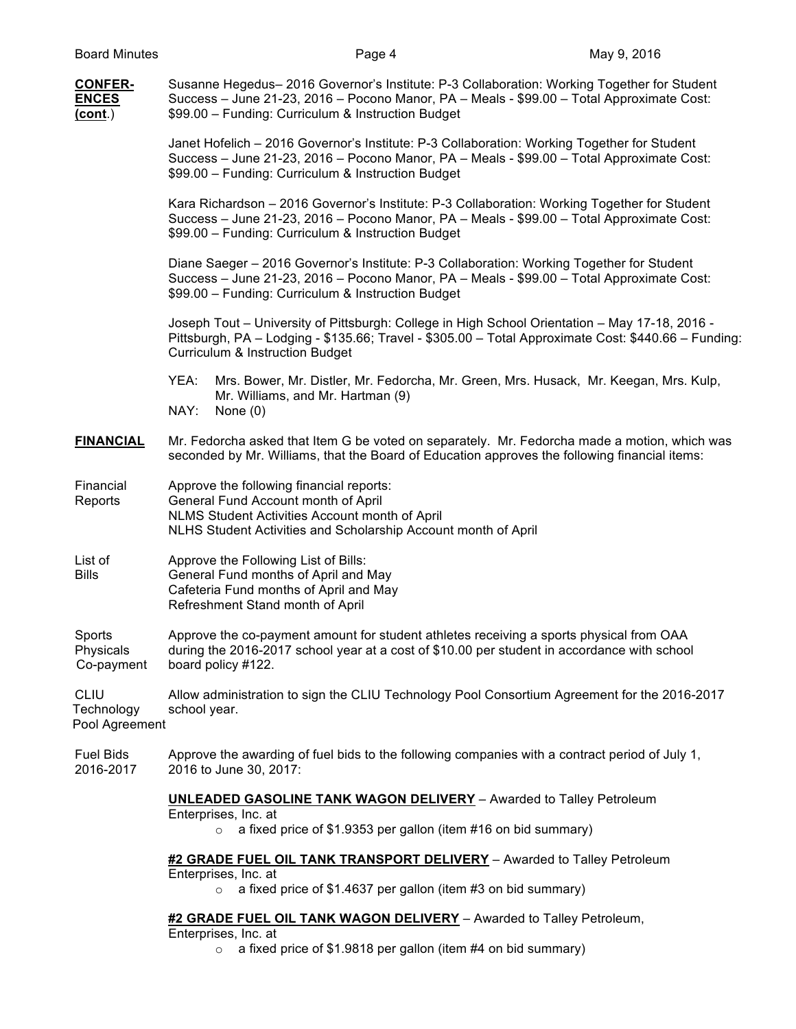| <b>CONFER-</b><br><b>ENCES</b><br><u>(cont.)</u> | Susanne Hegedus- 2016 Governor's Institute: P-3 Collaboration: Working Together for Student<br>Success - June 21-23, 2016 - Pocono Manor, PA - Meals - \$99.00 - Total Approximate Cost:<br>\$99.00 - Funding: Curriculum & Instruction Budget       |
|--------------------------------------------------|------------------------------------------------------------------------------------------------------------------------------------------------------------------------------------------------------------------------------------------------------|
|                                                  | Janet Hofelich - 2016 Governor's Institute: P-3 Collaboration: Working Together for Student<br>Success - June 21-23, 2016 - Pocono Manor, PA - Meals - \$99.00 - Total Approximate Cost:<br>\$99.00 - Funding: Curriculum & Instruction Budget       |
|                                                  | Kara Richardson - 2016 Governor's Institute: P-3 Collaboration: Working Together for Student<br>Success - June 21-23, 2016 - Pocono Manor, PA - Meals - \$99.00 - Total Approximate Cost:<br>\$99.00 - Funding: Curriculum & Instruction Budget      |
|                                                  | Diane Saeger - 2016 Governor's Institute: P-3 Collaboration: Working Together for Student<br>Success - June 21-23, 2016 - Pocono Manor, PA - Meals - \$99.00 - Total Approximate Cost:<br>\$99.00 - Funding: Curriculum & Instruction Budget         |
|                                                  | Joseph Tout - University of Pittsburgh: College in High School Orientation - May 17-18, 2016 -<br>Pittsburgh, PA - Lodging - \$135.66; Travel - \$305.00 - Total Approximate Cost: \$440.66 - Funding:<br><b>Curriculum &amp; Instruction Budget</b> |
|                                                  | YEA:<br>Mrs. Bower, Mr. Distler, Mr. Fedorcha, Mr. Green, Mrs. Husack, Mr. Keegan, Mrs. Kulp,<br>Mr. Williams, and Mr. Hartman (9)<br>NAY:<br>None $(0)$                                                                                             |
| <b>FINANCIAL</b>                                 | Mr. Fedorcha asked that Item G be voted on separately. Mr. Fedorcha made a motion, which was<br>seconded by Mr. Williams, that the Board of Education approves the following financial items:                                                        |
| Financial<br>Reports                             | Approve the following financial reports:<br>General Fund Account month of April<br>NLMS Student Activities Account month of April<br>NLHS Student Activities and Scholarship Account month of April                                                  |
| List of<br><b>Bills</b>                          | Approve the Following List of Bills:<br>General Fund months of April and May<br>Cafeteria Fund months of April and May<br>Refreshment Stand month of April                                                                                           |
| Sports<br>Physicals<br>Co-payment                | Approve the co-payment amount for student athletes receiving a sports physical from OAA<br>during the 2016-2017 school year at a cost of \$10.00 per student in accordance with school<br>board policy #122.                                         |
| <b>CLIU</b><br>Technology<br>Pool Agreement      | Allow administration to sign the CLIU Technology Pool Consortium Agreement for the 2016-2017<br>school year.                                                                                                                                         |
| <b>Fuel Bids</b><br>2016-2017                    | Approve the awarding of fuel bids to the following companies with a contract period of July 1,<br>2016 to June 30, 2017:                                                                                                                             |
|                                                  | <b>UNLEADED GASOLINE TANK WAGON DELIVERY</b> - Awarded to Talley Petroleum<br>Enterprises, Inc. at<br>a fixed price of \$1.9353 per gallon (item #16 on bid summary)<br>$\circ$                                                                      |
|                                                  | #2 GRADE FUEL OIL TANK TRANSPORT DELIVERY - Awarded to Talley Petroleum                                                                                                                                                                              |
|                                                  | Enterprises, Inc. at<br>a fixed price of \$1.4637 per gallon (item #3 on bid summary)<br>$\circ$                                                                                                                                                     |

# **#2 GRADE FUEL OIL TANK WAGON DELIVERY** – Awarded to Talley Petroleum,

Enterprises, Inc. at

 $\circ$  a fixed price of \$1.9818 per gallon (item #4 on bid summary)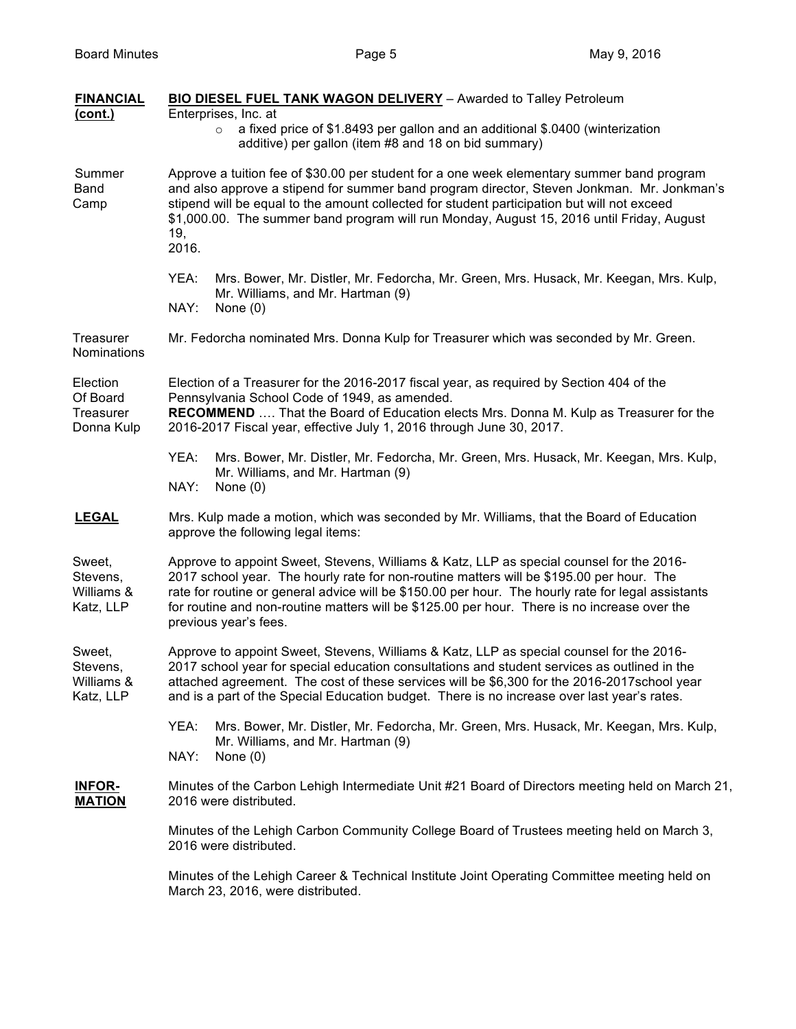| <b>FINANCIAL</b><br>(cont.)                     | <b>BIO DIESEL FUEL TANK WAGON DELIVERY</b> - Awarded to Talley Petroleum<br>Enterprises, Inc. at                                                                                                                                                                                                                                                                                                                    |
|-------------------------------------------------|---------------------------------------------------------------------------------------------------------------------------------------------------------------------------------------------------------------------------------------------------------------------------------------------------------------------------------------------------------------------------------------------------------------------|
|                                                 | a fixed price of \$1.8493 per gallon and an additional \$.0400 (winterization<br>$\circ$<br>additive) per gallon (item #8 and 18 on bid summary)                                                                                                                                                                                                                                                                    |
| Summer<br>Band<br>Camp                          | Approve a tuition fee of \$30.00 per student for a one week elementary summer band program<br>and also approve a stipend for summer band program director, Steven Jonkman. Mr. Jonkman's<br>stipend will be equal to the amount collected for student participation but will not exceed<br>\$1,000.00. The summer band program will run Monday, August 15, 2016 until Friday, August<br>19,<br>2016.                |
|                                                 | YEA:<br>Mrs. Bower, Mr. Distler, Mr. Fedorcha, Mr. Green, Mrs. Husack, Mr. Keegan, Mrs. Kulp,<br>Mr. Williams, and Mr. Hartman (9)<br>NAY:<br>None $(0)$                                                                                                                                                                                                                                                            |
| <b>Treasurer</b><br>Nominations                 | Mr. Fedorcha nominated Mrs. Donna Kulp for Treasurer which was seconded by Mr. Green.                                                                                                                                                                                                                                                                                                                               |
| Election<br>Of Board<br>Treasurer<br>Donna Kulp | Election of a Treasurer for the 2016-2017 fiscal year, as required by Section 404 of the<br>Pennsylvania School Code of 1949, as amended.<br>RECOMMEND  That the Board of Education elects Mrs. Donna M. Kulp as Treasurer for the<br>2016-2017 Fiscal year, effective July 1, 2016 through June 30, 2017.                                                                                                          |
|                                                 | YEA:<br>Mrs. Bower, Mr. Distler, Mr. Fedorcha, Mr. Green, Mrs. Husack, Mr. Keegan, Mrs. Kulp,<br>Mr. Williams, and Mr. Hartman (9)<br>NAY:<br>None $(0)$                                                                                                                                                                                                                                                            |
| <b>LEGAL</b>                                    | Mrs. Kulp made a motion, which was seconded by Mr. Williams, that the Board of Education<br>approve the following legal items:                                                                                                                                                                                                                                                                                      |
| Sweet,<br>Stevens,<br>Williams &<br>Katz, LLP   | Approve to appoint Sweet, Stevens, Williams & Katz, LLP as special counsel for the 2016-<br>2017 school year. The hourly rate for non-routine matters will be \$195.00 per hour. The<br>rate for routine or general advice will be \$150.00 per hour. The hourly rate for legal assistants<br>for routine and non-routine matters will be \$125.00 per hour. There is no increase over the<br>previous year's fees. |
| Sweet,<br>Stevens,<br>Williams &<br>Katz, LLP   | Approve to appoint Sweet, Stevens, Williams & Katz, LLP as special counsel for the 2016-<br>2017 school year for special education consultations and student services as outlined in the<br>attached agreement. The cost of these services will be \$6,300 for the 2016-2017school year<br>and is a part of the Special Education budget. There is no increase over last year's rates.                              |
|                                                 | YEA:<br>Mrs. Bower, Mr. Distler, Mr. Fedorcha, Mr. Green, Mrs. Husack, Mr. Keegan, Mrs. Kulp,<br>Mr. Williams, and Mr. Hartman (9)<br>NAY:<br>None $(0)$                                                                                                                                                                                                                                                            |
| <u>INFOR-</u><br><b>MATION</b>                  | Minutes of the Carbon Lehigh Intermediate Unit #21 Board of Directors meeting held on March 21,<br>2016 were distributed.                                                                                                                                                                                                                                                                                           |
|                                                 | Minutes of the Lehigh Carbon Community College Board of Trustees meeting held on March 3,<br>2016 were distributed.                                                                                                                                                                                                                                                                                                 |
|                                                 | Minutes of the Lehigh Career & Technical Institute Joint Operating Committee meeting held on<br>March 23, 2016, were distributed.                                                                                                                                                                                                                                                                                   |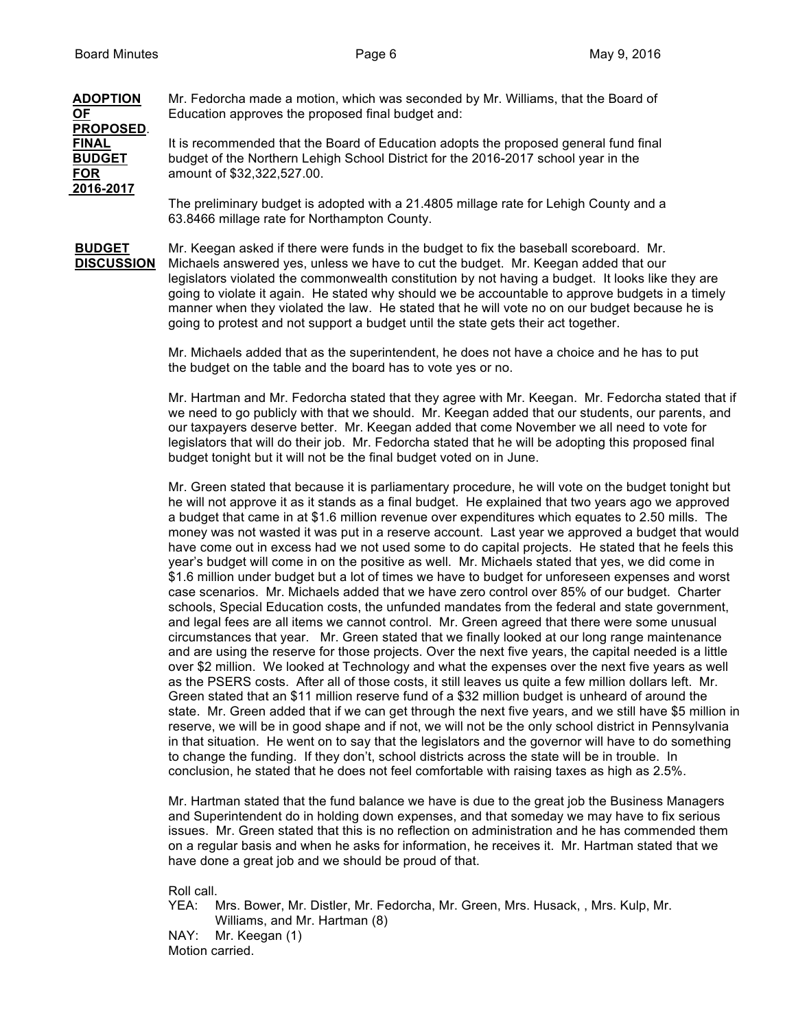## **ADOPTION** Mr. Fedorcha made a motion, which was seconded by Mr. Williams, that the Board of **OF** Education approves the proposed final budget and: **PROPOSED**. **FINAL** It is recommended that the Board of Education adopts the proposed general fund final **BUDGET** budget of the Northern Lehigh School District for the 2016-2017 school year in the **FOR** amount of \$32,322,527.00. **2016-2017** The preliminary budget is adopted with a 21.4805 millage rate for Lehigh County and a

63.8466 millage rate for Northampton County.

**BUDGET** Mr. Keegan asked if there were funds in the budget to fix the baseball scoreboard. Mr. **DISCUSSION** Michaels answered yes, unless we have to cut the budget. Mr. Keegan added that our legislators violated the commonwealth constitution by not having a budget. It looks like they are going to violate it again. He stated why should we be accountable to approve budgets in a timely manner when they violated the law. He stated that he will vote no on our budget because he is going to protest and not support a budget until the state gets their act together.

> Mr. Michaels added that as the superintendent, he does not have a choice and he has to put the budget on the table and the board has to vote yes or no.

Mr. Hartman and Mr. Fedorcha stated that they agree with Mr. Keegan. Mr. Fedorcha stated that if we need to go publicly with that we should. Mr. Keegan added that our students, our parents, and our taxpayers deserve better. Mr. Keegan added that come November we all need to vote for legislators that will do their job. Mr. Fedorcha stated that he will be adopting this proposed final budget tonight but it will not be the final budget voted on in June.

Mr. Green stated that because it is parliamentary procedure, he will vote on the budget tonight but he will not approve it as it stands as a final budget. He explained that two years ago we approved a budget that came in at \$1.6 million revenue over expenditures which equates to 2.50 mills. The money was not wasted it was put in a reserve account. Last year we approved a budget that would have come out in excess had we not used some to do capital projects. He stated that he feels this year's budget will come in on the positive as well. Mr. Michaels stated that yes, we did come in \$1.6 million under budget but a lot of times we have to budget for unforeseen expenses and worst case scenarios. Mr. Michaels added that we have zero control over 85% of our budget. Charter schools, Special Education costs, the unfunded mandates from the federal and state government, and legal fees are all items we cannot control. Mr. Green agreed that there were some unusual circumstances that year. Mr. Green stated that we finally looked at our long range maintenance and are using the reserve for those projects. Over the next five years, the capital needed is a little over \$2 million. We looked at Technology and what the expenses over the next five years as well as the PSERS costs. After all of those costs, it still leaves us quite a few million dollars left. Mr. Green stated that an \$11 million reserve fund of a \$32 million budget is unheard of around the state. Mr. Green added that if we can get through the next five years, and we still have \$5 million in reserve, we will be in good shape and if not, we will not be the only school district in Pennsylvania in that situation. He went on to say that the legislators and the governor will have to do something to change the funding. If they don't, school districts across the state will be in trouble. In conclusion, he stated that he does not feel comfortable with raising taxes as high as 2.5%.

Mr. Hartman stated that the fund balance we have is due to the great job the Business Managers and Superintendent do in holding down expenses, and that someday we may have to fix serious issues. Mr. Green stated that this is no reflection on administration and he has commended them on a regular basis and when he asks for information, he receives it. Mr. Hartman stated that we have done a great job and we should be proud of that.

Roll call.

YEA: Mrs. Bower, Mr. Distler, Mr. Fedorcha, Mr. Green, Mrs. Husack, , Mrs. Kulp, Mr. Williams, and Mr. Hartman (8)

NAY: Mr. Keegan (1) Motion carried.